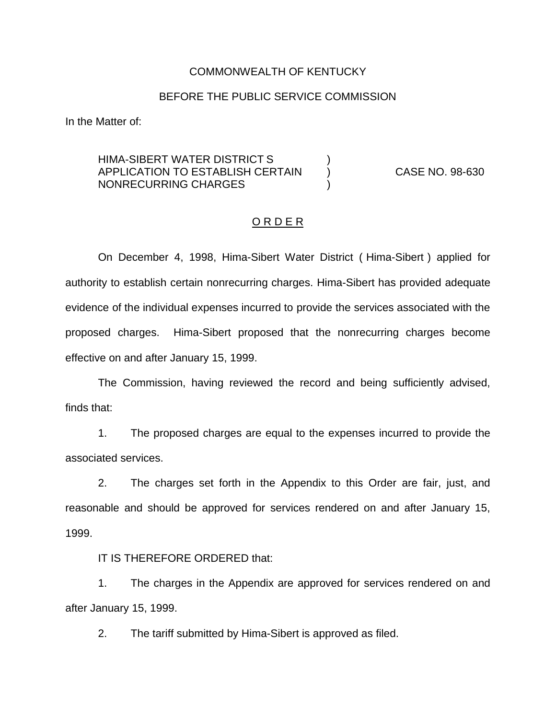#### COMMONWEALTH OF KENTUCKY

#### BEFORE THE PUBLIC SERVICE COMMISSION

In the Matter of:

### HIMA-SIBERT WATER DISTRICT S ) APPLICATION TO ESTABLISH CERTAIN ) CASE NO. 98-630 NONRECURRING CHARGES (1998)

#### O R D E R

On December 4, 1998, Hima-Sibert Water District ( Hima-Sibert ) applied for authority to establish certain nonrecurring charges. Hima-Sibert has provided adequate evidence of the individual expenses incurred to provide the services associated with the proposed charges. Hima-Sibert proposed that the nonrecurring charges become effective on and after January 15, 1999.

The Commission, having reviewed the record and being sufficiently advised, finds that:

1. The proposed charges are equal to the expenses incurred to provide the associated services.

2. The charges set forth in the Appendix to this Order are fair, just, and reasonable and should be approved for services rendered on and after January 15, 1999.

### IT IS THEREFORE ORDERED that:

1. The charges in the Appendix are approved for services rendered on and after January 15, 1999.

2. The tariff submitted by Hima-Sibert is approved as filed.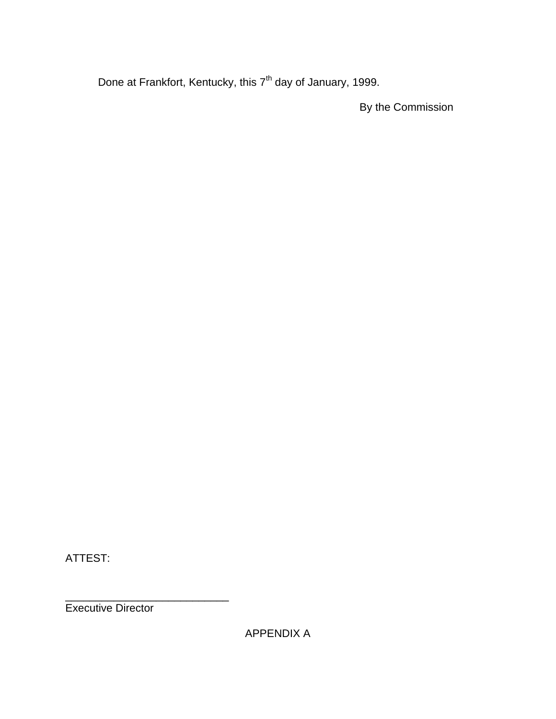Done at Frankfort, Kentucky, this 7<sup>th</sup> day of January, 1999.

By the Commission

ATTEST:

\_\_\_\_\_\_\_\_\_\_\_\_\_\_\_\_\_\_\_\_\_\_\_\_\_\_\_ Executive Director

APPENDIX A